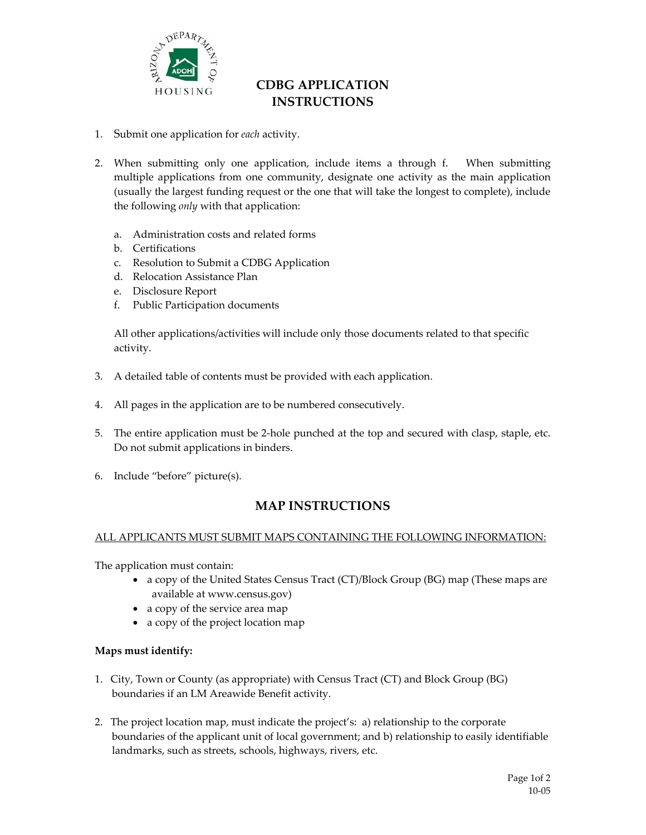

# **CDBG APPLICATION INSTRUCTIONS**

- 1. Submit one application for *each* activity.
- 2. When submitting only one application, include items a through f. When submitting multiple applications from one community, designate one activity as the main application (usually the largest funding request or the one that will take the longest to complete), include the following *only* with that application:
	- a. Administration costs and related forms
	- b. Certifications
	- c. Resolution to Submit a CDBG Application
	- d. Relocation Assistance Plan
	- e. Disclosure Report
	- f. Public Participation documents

All other applications/activities will include only those documents related to that specific activity.

- 3. A detailed table of contents must be provided with each application.
- 4. All pages in the application are to be numbered consecutively.
- 5. The entire application must be 2‐hole punched at the top and secured with clasp, staple, etc. Do not submit applications in binders.
- 6. Include "before" picture(s).

## **MAP INSTRUCTIONS**

#### ALL APPLICANTS MUST SUBMIT MAPS CONTAINING THE FOLLOWING INFORMATION:

The application must contain:

- a copy of the United States Census Tract (CT)/Block Group (BG) map (These maps are available at www.census.gov)
- a copy of the service area map
- a copy of the project location map

#### **Maps must identify:**

- 1. City, Town or County (as appropriate) with Census Tract (CT) and Block Group (BG) boundaries if an LM Areawide Benefit activity.
- 2. The project location map, must indicate the project's: a) relationship to the corporate boundaries of the applicant unit of local government; and b) relationship to easily identifiable landmarks, such as streets, schools, highways, rivers, etc.